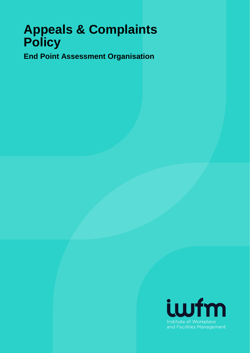# **Appeals & Complaints Policy**

**End Point Assessment Organisation**

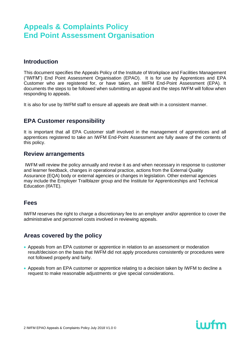### **Introduction**

This document specifies the Appeals Policy of the Institute of Workplace and Facilities Management ("IWFM") End Point Assessment Organisation (EPAO). It is for use by Apprentices and EPA Customer who are registered for, or have taken, an IWFM End-Point Assessment (EPA). It documents the steps to be followed when submitting an appeal and the steps IWFM will follow when responding to appeals.

It is also for use by IWFM staff to ensure all appeals are dealt with in a consistent manner.

### **EPA Customer responsibility**

It is important that all EPA Customer staff involved in the management of apprentices and all apprentices registered to take an IWFM End-Point Assessment are fully aware of the contents of this policy.

#### **Review arrangements**

IWFM will review the policy annually and revise it as and when necessary in response to customer and learner feedback, changes in operational practice, actions from the External Quality Assurance (EQA) body or external agencies or changes in legislation. Other external agencies may include the Employer Trailblazer group and the Institute for Apprenticeships and Technical Education (IfATE).

### **Fees**

IWFM reserves the right to charge a discretionary fee to an employer and/or apprentice to cover the administrative and personnel costs involved in reviewing appeals.

### **Areas covered by the policy**

- Appeals from an EPA customer or apprentice in relation to an assessment or moderation result/decision on the basis that IWFM did not apply procedures consistently or procedures were not followed properly and fairly.
- Appeals from an EPA customer or apprentice relating to a decision taken by IWFM to decline a request to make reasonable adjustments or give special considerations.

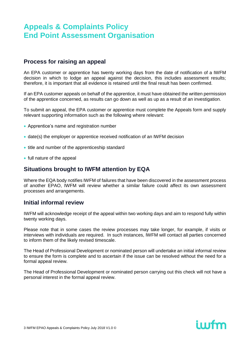### **Process for raising an appeal**

An EPA customer or apprentice has twenty working days from the date of notification of a IWFM decision in which to lodge an appeal against the decision, this includes assessment results; therefore, it is important that all evidence is retained until the final result has been confirmed.

If an EPA customer appeals on behalf of the apprentice, it must have obtained the written permission of the apprentice concerned, as results can go down as well as up as a result of an investigation.

To submit an appeal, the EPA customer or apprentice must complete the Appeals form and supply relevant supporting information such as the following where relevant:

- Apprentice's name and registration number
- date(s) the employer or apprentice received notification of an IWFM decision
- title and number of the apprenticeship standard
- full nature of the appeal

### **Situations brought to IWFM attention by EQA**

Where the EQA body notifies IWFM of failures that have been discovered in the assessment process of another EPAO, IWFM will review whether a similar failure could affect its own assessment processes and arrangements.

#### **Initial informal review**

IWFM will acknowledge receipt of the appeal within two working days and aim to respond fully within twenty working days.

Please note that in some cases the review processes may take longer, for example, if visits or interviews with individuals are required. In such instances, IWFM will contact all parties concerned to inform them of the likely revised timescale.

The Head of Professional Development or nominated person will undertake an initial informal review to ensure the form is complete and to ascertain if the issue can be resolved without the need for a formal appeal review.

The Head of Professional Development or nominated person carrying out this check will not have a personal interest in the formal appeal review.

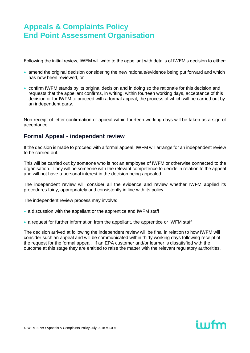Following the initial review, IWFM will write to the appellant with details of IWFM's decision to either:

- amend the original decision considering the new rationale/evidence being put forward and which has now been reviewed, or
- confirm IWFM stands by its original decision and in doing so the rationale for this decision and requests that the appellant confirms, in writing, within fourteen working days, acceptance of this decision or for IWFM to proceed with a formal appeal, the process of which will be carried out by an independent party.

Non-receipt of letter confirmation or appeal within fourteen working days will be taken as a sign of acceptance.

# **Formal Appeal - independent review**

If the decision is made to proceed with a formal appeal, IWFM will arrange for an independent review to be carried out.

This will be carried out by someone who is not an employee of IWFM or otherwise connected to the organisation. They will be someone with the relevant competence to decide in relation to the appeal and will not have a personal interest in the decision being appealed.

The independent review will consider all the evidence and review whether IWFM applied its procedures fairly, appropriately and consistently in line with its policy.

The independent review process may involve:

- a discussion with the appellant or the apprentice and IWFM staff
- a request for further information from the appellant, the apprentice or IWFM staff

The decision arrived at following the independent review will be final in relation to how IWFM will consider such an appeal and will be communicated within thirty working days following receipt of the request for the formal appeal. If an EPA customer and/or learner is dissatisfied with the outcome at this stage they are entitled to raise the matter with the relevant regulatory authorities.

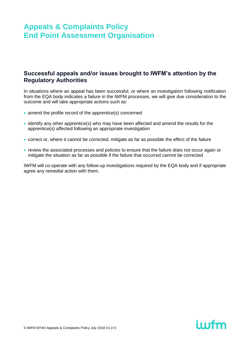### **Successful appeals and/or issues brought to IWFM's attention by the Regulatory Authorities**

In situations where an appeal has been successful, or where an investigation following notification from the EQA body indicates a failure in the IWFM processes, we will give due consideration to the outcome and will take appropriate actions such as:

- amend the profile record of the apprentice(s) concerned
- identify any other apprentice(s) who may have been affected and amend the results for the apprentice(s) affected following an appropriate investigation
- correct or, where it cannot be corrected, mitigate as far as possible the effect of the failure
- review the associated processes and policies to ensure that the failure does not occur again or mitigate the situation as far as possible if the failure that occurred cannot be corrected

IWFM will co-operate with any follow-up investigations required by the EQA body and if appropriate agree any remedial action with them.

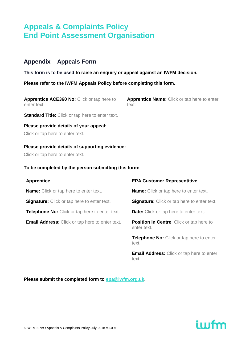### **Appendix – Appeals Form**

**This form is to be used to raise an enquiry or appeal against an IWFM decision.** 

**Please refer to the IWFM Appeals Policy before completing this form.**

**Apprentice ACE360 No:** Click or tap here to enter text.

**Apprentice Name:** Click or tap here to enter text.

**Standard Title**: Click or tap here to enter text.

**Please provide details of your appeal:** Click or tap here to enter text.

**Please provide details of supporting evidence:**

Click or tap here to enter text.

#### **To be completed by the person submitting this form:**

| <b>Apprentice</b>                                      | <b>EPA Customer Representitive</b>                             |
|--------------------------------------------------------|----------------------------------------------------------------|
| <b>Name:</b> Click or tap here to enter text.          | <b>Name:</b> Click or tap here to enter text.                  |
| <b>Signature:</b> Click or tap here to enter text.     | <b>Signature:</b> Click or tap here to enter text.             |
| <b>Telephone No:</b> Click or tap here to enter text.  | <b>Date:</b> Click or tap here to enter text.                  |
| <b>Email Address:</b> Click or tap here to enter text. | <b>Position in Centre:</b> Click or tap here to<br>enter text. |
|                                                        | Telephone No: Click or tap here to enter<br>text.              |
|                                                        | <b>Email Address:</b> Click or tap here to enter               |

text.

**Please submit the completed form to [epa@iwfm.org.uk.](mailto:epa@iwfm.org.uk)**

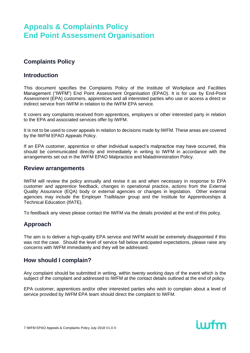# **Complaints Policy**

### **Introduction**

This document specifies the Complaints Policy of the Institute of Workplace and Facilities Management ("IWFM") End Point Assessment Organisation (EPAO). It is for use by End-Point Assessment (EPA) customers, apprentices and all interested parties who use or access a direct or indirect service from IWFM in relation to the IWFM EPA service.

It covers any complaints received from apprentices, employers or other interested party in relation to the EPA and associated services offer by IWFM.

It is not to be used to cover appeals in relation to decisions made by IWFM. These areas are covered by the IWFM EPAO Appeals Policy.

If an EPA customer, apprentice or other individual suspect's malpractice may have occurred, this should be communicated directly and immediately in writing to IWFM in accordance with the arrangements set out in the IWFM EPAO Malpractice and Maladministration Policy.

#### **Review arrangements**

IWFM will review the policy annually and revise it as and when necessary in response to EPA customer and apprentice feedback, changes in operational practice, actions from the External Quality Assurance (EQA) body or external agencies or changes in legislation. Other external agencies may include the Employer Trailblazer group and the Institute for Apprenticeships & Technical Education (IfATE).

To feedback any views please contact the IWFM via the details provided at the end of this policy.

## **Approach**

The aim is to deliver a high-quality EPA service and IWFM would be extremely disappointed if this was not the case. Should the level of service fall below anticipated expectations, please raise any concerns with IWFM immediately and they will be addressed.

## **How should I complain?**

Any complaint should be submitted in writing, within twenty working days of the event which is the subject of the complaint and addressed to IWFM at the contact details outlined at the end of policy.

EPA customer, apprentices and/or other interested parties who wish to complain about a level of service provided by IWFM EPA team should direct the complaint to IWFM.

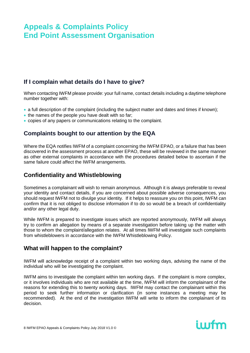# **If I complain what details do I have to give?**

When contacting IWFM please provide: your full name, contact details including a daytime telephone number together with:

- a full description of the complaint (including the subject matter and dates and times if known);
- the names of the people you have dealt with so far;
- copies of any papers or communications relating to the complaint.

## **Complaints bought to our attention by the EQA**

Where the EQA notifies IWFM of a complaint concerning the IWFM EPAO, or a failure that has been discovered in the assessment process at another EPAO, these will be reviewed in the same manner as other external complaints in accordance with the procedures detailed below to ascertain if the same failure could affect the IWFM arrangements.

## **Confidentiality and Whistleblowing**

Sometimes a complainant will wish to remain anonymous. Although it is always preferable to reveal your identity and contact details, if you are concerned about possible adverse consequences, you should request IWFM not to divulge your identity. If it helps to reassure you on this point, IWFM can confirm that it is not obliged to disclose information if to do so would be a breach of confidentiality and/or any other legal duty.

While IWFM is prepared to investigate issues which are reported anonymously, IWFM will always try to confirm an allegation by means of a separate investigation before taking up the matter with those to whom the complaint/allegation relates. At all times IWFM will investigate such complaints from whistleblowers in accordance with the IWFM Whistleblowing Policy.

## **What will happen to the complaint?**

IWFM will acknowledge receipt of a complaint within two working days, advising the name of the individual who will be investigating the complaint.

IWFM aims to investigate the complaint within ten working days. If the complaint is more complex, or it involves individuals who are not available at the time, IWFM will inform the complainant of the reasons for extending this to twenty working days. IWFM may contact the complainant within this period to seek further information or clarification (in some instances a meeting may be recommended). At the end of the investigation IWFM will write to inform the complainant of its decision.

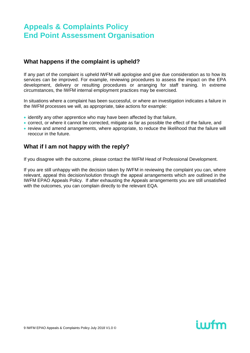### **What happens if the complaint is upheld?**

If any part of the complaint is upheld IWFM will apologise and give due consideration as to how its services can be improved. For example, reviewing procedures to assess the impact on the EPA development, delivery or resulting procedures or arranging for staff training. In extreme circumstances, the IWFM internal employment practices may be exercised.

In situations where a complaint has been successful, or where an investigation indicates a failure in the IWFM processes we will, as appropriate, take actions for example:

- identify any other apprentice who may have been affected by that failure,
- correct, or where it cannot be corrected, mitigate as far as possible the effect of the failure, and
- review and amend arrangements, where appropriate, to reduce the likelihood that the failure will reoccur in the future.

### **What if I am not happy with the reply?**

If you disagree with the outcome, please contact the IWFM Head of Professional Development.

If you are still unhappy with the decision taken by IWFM in reviewing the complaint you can, where relevant, appeal this decision/solution through the appeal arrangements which are outlined in the IWFM EPAO Appeals Policy. If after exhausting the Appeals arrangements you are still unsatisfied with the outcomes, you can complain directly to the relevant EQA.